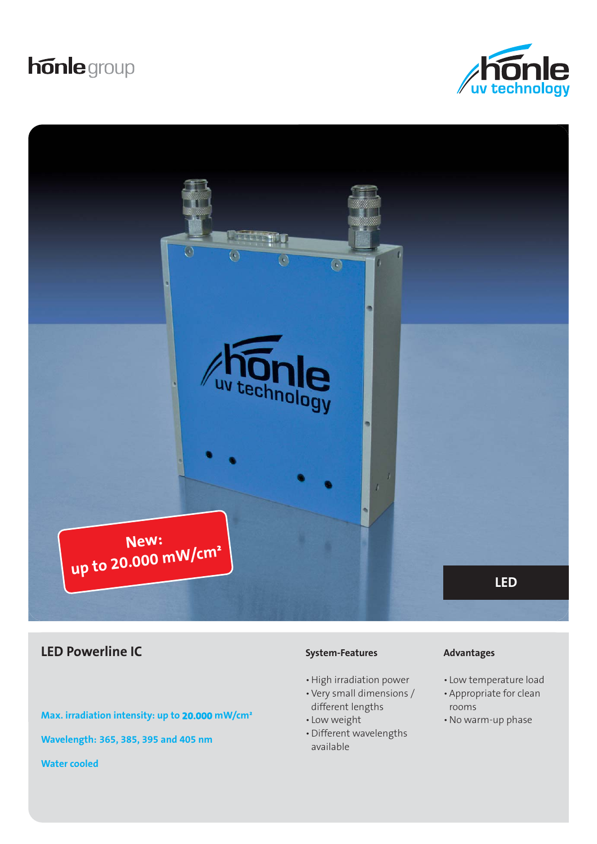# **honle** group





## **LED Powerline IC Advantages Advantages Advantages Advantages**

**Max. irradiation intensity: up to 20.000 mW/cm² Wavelength: 365, 385, 395 and 405 nm Water cooled**

#### **System-Features**

- High irradiation power
- Very small dimensions / different lengths
- Low weight
- Different wavelengths available

- Low temperature load
- Appropriate for clean rooms
- No warm-up phase